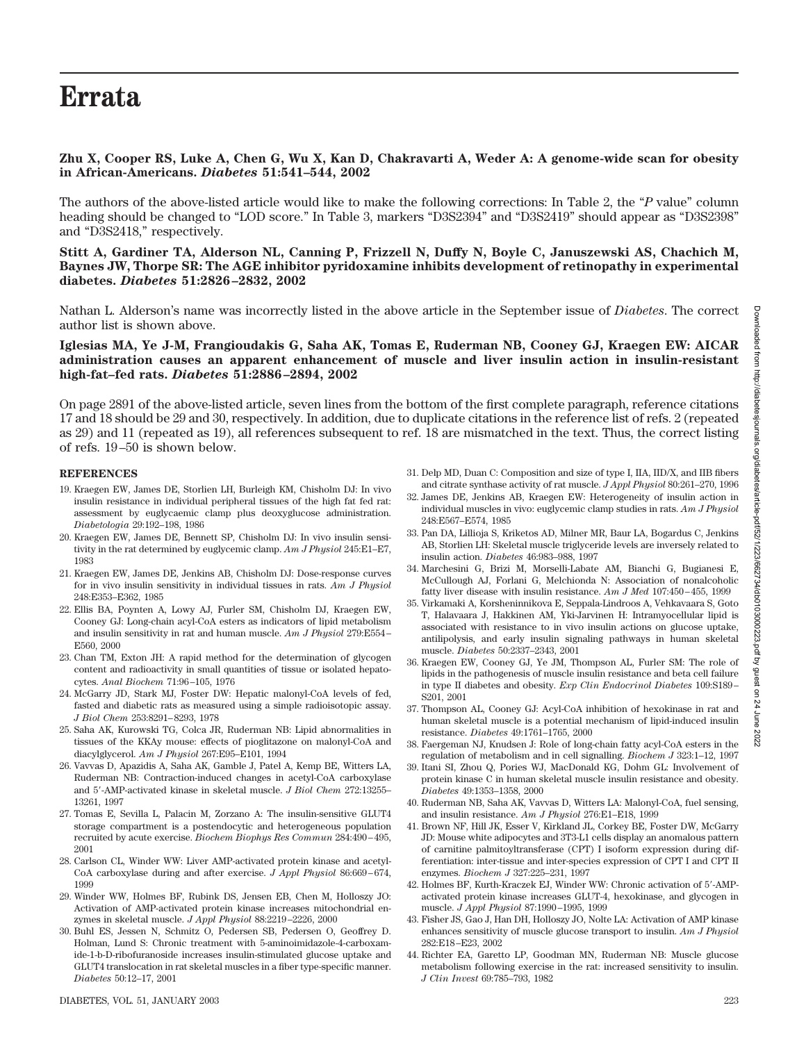# **Errata**

## **Zhu X, Cooper RS, Luke A, Chen G, Wu X, Kan D, Chakravarti A, Weder A: A genome-wide scan for obesity in African-Americans.** *Diabetes* **51:541–544, 2002**

The authors of the above-listed article would like to make the following corrections: In Table 2, the "*P* value" column heading should be changed to "LOD score." In Table 3, markers "D3S2394" and "D3S2419" should appear as "D3S2398" and "D3S2418," respectively.

**Stitt A, Gardiner TA, Alderson NL, Canning P, Frizzell N, Duffy N, Boyle C, Januszewski AS, Chachich M, Baynes JW, Thorpe SR: The AGE inhibitor pyridoxamine inhibits development of retinopathy in experimental diabetes.** *Diabetes* **51:2826–2832, 2002**

Nathan L. Alderson's name was incorrectly listed in the above article in the September issue of *Diabetes*. The correct author list is shown above.

### **Iglesias MA, Ye J-M, Frangioudakis G, Saha AK, Tomas E, Ruderman NB, Cooney GJ, Kraegen EW: AICAR administration causes an apparent enhancement of muscle and liver insulin action in insulin-resistant high-fat–fed rats.** *Diabetes* **51:2886–2894, 2002**

On page 2891 of the above-listed article, seven lines from the bottom of the first complete paragraph, reference citations 17 and 18 should be 29 and 30, respectively. In addition, due to duplicate citations in the reference list of refs. 2 (repeated as 29) and 11 (repeated as 19), all references subsequent to ref. 18 are mismatched in the text. Thus, the correct listing of refs. 19–50 is shown below.

#### **REFERENCES**

- 19. Kraegen EW, James DE, Storlien LH, Burleigh KM, Chisholm DJ: In vivo insulin resistance in individual peripheral tissues of the high fat fed rat: assessment by euglycaemic clamp plus deoxyglucose administration. *Diabetologia* 29:192–198, 1986
- 20. Kraegen EW, James DE, Bennett SP, Chisholm DJ: In vivo insulin sensitivity in the rat determined by euglycemic clamp. *Am J Physiol* 245:E1–E7, 1983
- 21. Kraegen EW, James DE, Jenkins AB, Chisholm DJ: Dose-response curves for in vivo insulin sensitivity in individual tissues in rats. *Am J Physiol* 248:E353–E362, 1985
- 22. Ellis BA, Poynten A, Lowy AJ, Furler SM, Chisholm DJ, Kraegen EW, Cooney GJ: Long-chain acyl-CoA esters as indicators of lipid metabolism and insulin sensitivity in rat and human muscle. *Am J Physiol* 279:E554– E560, 2000
- 23. Chan TM, Exton JH: A rapid method for the determination of glycogen content and radioactivity in small quantities of tissue or isolated hepatocytes. *Anal Biochem* 71:96–105, 1976
- 24. McGarry JD, Stark MJ, Foster DW: Hepatic malonyl-CoA levels of fed, fasted and diabetic rats as measured using a simple radioisotopic assay. *J Biol Chem* 253:8291–8293, 1978
- 25. Saha AK, Kurowski TG, Colca JR, Ruderman NB: Lipid abnormalities in tissues of the KKAy mouse: effects of pioglitazone on malonyl-CoA and diacylglycerol. *Am J Physiol* 267:E95–E101, 1994
- 26. Vavvas D, Apazidis A, Saha AK, Gamble J, Patel A, Kemp BE, Witters LA, Ruderman NB: Contraction-induced changes in acetyl-CoA carboxylase and 5-AMP-activated kinase in skeletal muscle. *J Biol Chem* 272:13255– 13261, 1997
- 27. Tomas E, Sevilla L, Palacin M, Zorzano A: The insulin-sensitive GLUT4 storage compartment is a postendocytic and heterogeneous population recruited by acute exercise. *Biochem Biophys Res Commun* 284:490–495, 2001
- 28. Carlson CL, Winder WW: Liver AMP-activated protein kinase and acetyl-CoA carboxylase during and after exercise. *J Appl Physiol* 86:669–674, 1999
- 29. Winder WW, Holmes BF, Rubink DS, Jensen EB, Chen M, Holloszy JO: Activation of AMP-activated protein kinase increases mitochondrial enzymes in skeletal muscle. *J Appl Physiol* 88:2219–2226, 2000
- 30. Buhl ES, Jessen N, Schmitz O, Pedersen SB, Pedersen O, Geoffrey D. Holman, Lund S: Chronic treatment with 5-aminoimidazole-4-carboxamide-1-b-D-ribofuranoside increases insulin-stimulated glucose uptake and GLUT4 translocation in rat skeletal muscles in a fiber type-specific manner. *Diabetes* 50:12–17, 2001
- individual muscles in vivo: euglycemic clamp studies in rats. *Am J Physiol* 248:E567–E574, 1985
	- 33. Pan DA, Lillioja S, Kriketos AD, Milner MR, Baur LA, Bogardus C, Jenkins AB, Storlien LH: Skeletal muscle triglyceride levels are inversely related to insulin action. *Diabetes* 46:983–988, 1997

31. Delp MD, Duan C: Composition and size of type I, IIA, IID/X, and IIB fibers and citrate synthase activity of rat muscle. *J Appl Physiol* 80:261–270, 1996 32. James DE, Jenkins AB, Kraegen EW: Heterogeneity of insulin action in

- 34. Marchesini G, Brizi M, Morselli-Labate AM, Bianchi G, Bugianesi E, McCullough AJ, Forlani G, Melchionda N: Association of nonalcoholic fatty liver disease with insulin resistance. *Am J Med* 107:450–455, 1999
- 35. Virkamaki A, Korsheninnikova E, Seppala-Lindroos A, Vehkavaara S, Goto T, Halavaara J, Hakkinen AM, Yki-Jarvinen H: Intramyocellular lipid is associated with resistance to in vivo insulin actions on glucose uptake, antilipolysis, and early insulin signaling pathways in human skeletal muscle. *Diabetes* 50:2337–2343, 2001
- 36. Kraegen EW, Cooney GJ, Ye JM, Thompson AL, Furler SM: The role of lipids in the pathogenesis of muscle insulin resistance and beta cell failure in type II diabetes and obesity. *Exp Clin Endocrinol Diabetes* 109:S189– S201, 2001
- 37. Thompson AL, Cooney GJ: Acyl-CoA inhibition of hexokinase in rat and human skeletal muscle is a potential mechanism of lipid-induced insulin resistance. *Diabetes* 49:1761–1765, 2000
- 38. Faergeman NJ, Knudsen J: Role of long-chain fatty acyl-CoA esters in the regulation of metabolism and in cell signalling. *Biochem J* 323:1–12, 1997
- 39. Itani SI, Zhou Q, Pories WJ, MacDonald KG, Dohm GL: Involvement of protein kinase C in human skeletal muscle insulin resistance and obesity. *Diabetes* 49:1353–1358, 2000
- 40. Ruderman NB, Saha AK, Vavvas D, Witters LA: Malonyl-CoA, fuel sensing, and insulin resistance. *Am J Physiol* 276:E1–E18, 1999
- 41. Brown NF, Hill JK, Esser V, Kirkland JL, Corkey BE, Foster DW, McGarry JD: Mouse white adipocytes and 3T3-L1 cells display an anomalous pattern of carnitine palmitoyltransferase (CPT) I isoform expression during differentiation: inter-tissue and inter-species expression of CPT I and CPT II enzymes. *Biochem J* 327:225–231, 1997
- 42. Holmes BF, Kurth-Kraczek EJ, Winder WW: Chronic activation of 5-AMPactivated protein kinase increases GLUT-4, hexokinase, and glycogen in muscle. *J Appl Physiol* 87:1990–1995, 1999
- 43. Fisher JS, Gao J, Han DH, Holloszy JO, Nolte LA: Activation of AMP kinase enhances sensitivity of muscle glucose transport to insulin. *Am J Physiol* 282:E18–E23, 2002
- 44. Richter EA, Garetto LP, Goodman MN, Ruderman NB: Muscle glucose metabolism following exercise in the rat: increased sensitivity to insulin. *J Clin Invest* 69:785–793, 1982